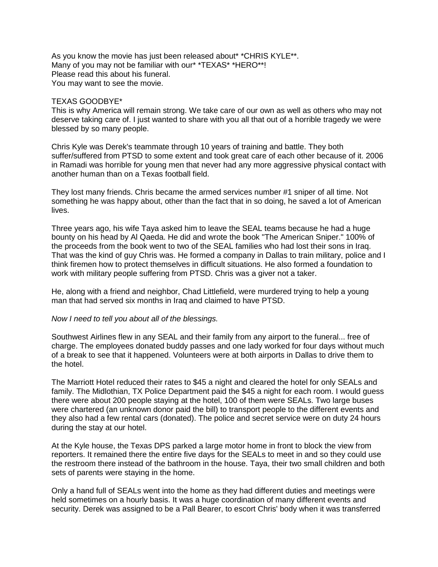As you know the movie has just been released about\* \*CHRIS KYLE\*\*. Many of you may not be familiar with our\* \*TEXAS\* \*HERO\*\*! Please read this about his funeral. You may want to see the movie.

## TEXAS GOODBYE\*

This is why America will remain strong. We take care of our own as well as others who may not deserve taking care of. I just wanted to share with you all that out of a horrible tragedy we were blessed by so many people.

Chris Kyle was Derek's teammate through 10 years of training and battle. They both suffer/suffered from PTSD to some extent and took great care of each other because of it. 2006 in Ramadi was horrible for young men that never had any more aggressive physical contact with another human than on a Texas football field.

They lost many friends. Chris became the armed services number #1 sniper of all time. Not something he was happy about, other than the fact that in so doing, he saved a lot of American lives.

Three years ago, his wife Taya asked him to leave the SEAL teams because he had a huge bounty on his head by Al Qaeda. He did and wrote the book "The American Sniper." 100% of the proceeds from the book went to two of the SEAL families who had lost their sons in Iraq. That was the kind of guy Chris was. He formed a company in Dallas to train military, police and I think firemen how to protect themselves in difficult situations. He also formed a foundation to work with military people suffering from PTSD. Chris was a giver not a taker.

He, along with a friend and neighbor, Chad Littlefield, were murdered trying to help a young man that had served six months in Iraq and claimed to have PTSD.

## *Now I need to tell you about all of the blessings.*

Southwest Airlines flew in any SEAL and their family from any airport to the funeral... free of charge. The employees donated buddy passes and one lady worked for four days without much of a break to see that it happened. Volunteers were at both airports in Dallas to drive them to the hotel.

The Marriott Hotel reduced their rates to \$45 a night and cleared the hotel for only SEALs and family. The Midlothian, TX Police Department paid the \$45 a night for each room. I would guess there were about 200 people staying at the hotel, 100 of them were SEALs. Two large buses were chartered (an unknown donor paid the bill) to transport people to the different events and they also had a few rental cars (donated). The police and secret service were on duty 24 hours during the stay at our hotel.

At the Kyle house, the Texas DPS parked a large motor home in front to block the view from reporters. It remained there the entire five days for the SEALs to meet in and so they could use the restroom there instead of the bathroom in the house. Taya, their two small children and both sets of parents were staying in the home.

Only a hand full of SEALs went into the home as they had different duties and meetings were held sometimes on a hourly basis. It was a huge coordination of many different events and security. Derek was assigned to be a Pall Bearer, to escort Chris' body when it was transferred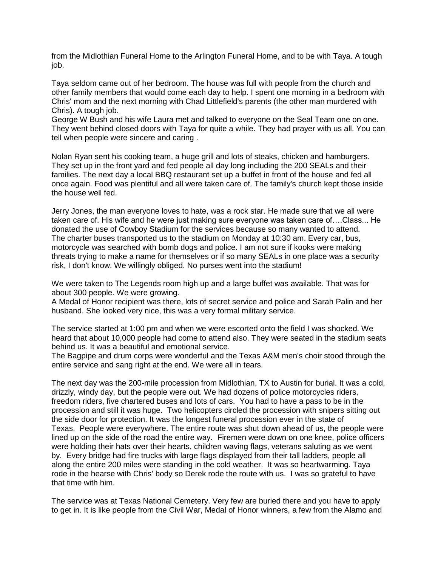from the Midlothian Funeral Home to the Arlington Funeral Home, and to be with Taya. A tough job.

Taya seldom came out of her bedroom. The house was full with people from the church and other family members that would come each day to help. I spent one morning in a bedroom with Chris' mom and the next morning with Chad Littlefield's parents (the other man murdered with Chris). A tough job.

George W Bush and his wife Laura met and talked to everyone on the Seal Team one on one. They went behind closed doors with Taya for quite a while. They had prayer with us all. You can tell when people were sincere and caring .

Nolan Ryan sent his cooking team, a huge grill and lots of steaks, chicken and hamburgers. They set up in the front yard and fed people all day long including the 200 SEALs and their families. The next day a local BBQ restaurant set up a buffet in front of the house and fed all once again. Food was plentiful and all were taken care of. The family's church kept those inside the house well fed.

Jerry Jones, the man everyone loves to hate, was a rock star. He made sure that we all were taken care of. His wife and he were just making sure everyone was taken care of….Class... He donated the use of Cowboy Stadium for the services because so many wanted to attend. The charter buses transported us to the stadium on Monday at 10:30 am. Every car, bus, motorcycle was searched with bomb dogs and police. I am not sure if kooks were making threats trying to make a name for themselves or if so many SEALs in one place was a security risk, I don't know. We willingly obliged. No purses went into the stadium!

We were taken to The Legends room high up and a large buffet was available. That was for about 300 people. We were growing.

A Medal of Honor recipient was there, lots of secret service and police and Sarah Palin and her husband. She looked very nice, this was a very formal military service.

The service started at 1:00 pm and when we were escorted onto the field I was shocked. We heard that about 10,000 people had come to attend also. They were seated in the stadium seats behind us. It was a beautiful and emotional service.

The Bagpipe and drum corps were wonderful and the Texas A&M men's choir stood through the entire service and sang right at the end. We were all in tears.

The next day was the 200-mile procession from Midlothian, TX to Austin for burial. It was a cold, drizzly, windy day, but the people were out. We had dozens of police motorcycles riders, freedom riders, five chartered buses and lots of cars. You had to have a pass to be in the procession and still it was huge. Two helicopters circled the procession with snipers sitting out the side door for protection. It was the longest funeral procession ever in the state of Texas. People were everywhere. The entire route was shut down ahead of us, the people were lined up on the side of the road the entire way. Firemen were down on one knee, police officers were holding their hats over their hearts, children waving flags, veterans saluting as we went by. Every bridge had fire trucks with large flags displayed from their tall ladders, people all along the entire 200 miles were standing in the cold weather. It was so heartwarming. Taya rode in the hearse with Chris' body so Derek rode the route with us. I was so grateful to have that time with him.

The service was at Texas National Cemetery. Very few are buried there and you have to apply to get in. It is like people from the Civil War, Medal of Honor winners, a few from the Alamo and